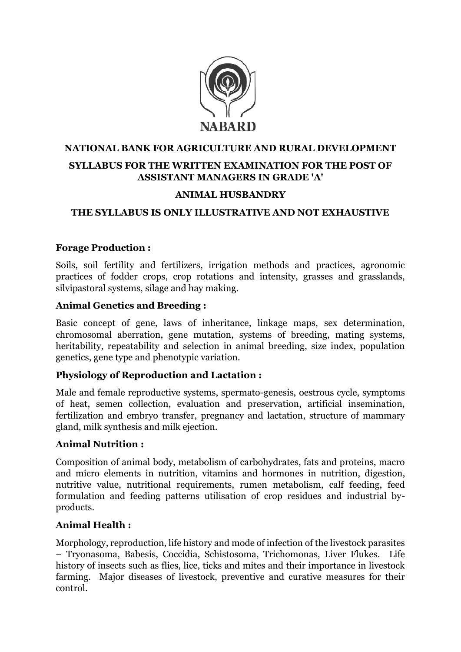

## **NATIONAL BANK FOR AGRICULTURE AND RURAL DEVELOPMENT SYLLABUS FOR THE WRITTEN EXAMINATION FOR THE POST OF ASSISTANT MANAGERS IN GRADE 'A'**

#### **ANIMAL HUSBANDRY**

#### **THE SYLLABUS IS ONLY ILLUSTRATIVE AND NOT EXHAUSTIVE**

#### **Forage Production :**

Soils, soil fertility and fertilizers, irrigation methods and practices, agronomic practices of fodder crops, crop rotations and intensity, grasses and grasslands, silvipastoral systems, silage and hay making.

#### **Animal Genetics and Breeding :**

Basic concept of gene, laws of inheritance, linkage maps, sex determination, chromosomal aberration, gene mutation, systems of breeding, mating systems, heritability, repeatability and selection in animal breeding, size index, population genetics, gene type and phenotypic variation.

#### **Physiology of Reproduction and Lactation :**

Male and female reproductive systems, spermato-genesis, oestrous cycle, symptoms of heat, semen collection, evaluation and preservation, artificial insemination, fertilization and embryo transfer, pregnancy and lactation, structure of mammary gland, milk synthesis and milk ejection.

#### **Animal Nutrition :**

Composition of animal body, metabolism of carbohydrates, fats and proteins, macro and micro elements in nutrition, vitamins and hormones in nutrition, digestion, nutritive value, nutritional requirements, rumen metabolism, calf feeding, feed formulation and feeding patterns utilisation of crop residues and industrial byproducts.

#### **Animal Health :**

Morphology, reproduction, life history and mode of infection of the livestock parasites – Tryonasoma, Babesis, Coccidia, Schistosoma, Trichomonas, Liver Flukes. Life history of insects such as flies, lice, ticks and mites and their importance in livestock farming. Major diseases of livestock, preventive and curative measures for their control.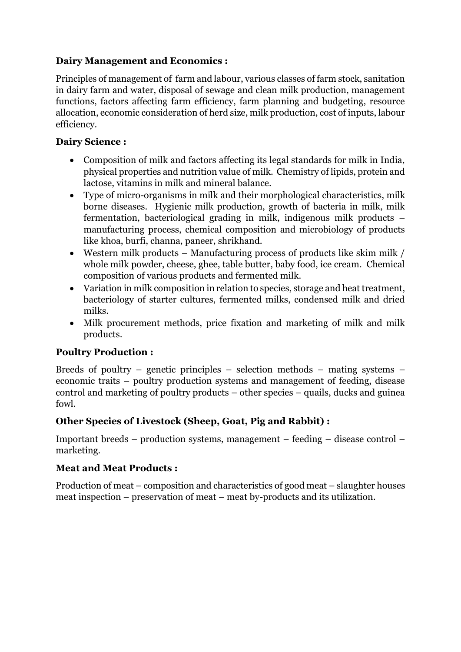#### **Dairy Management and Economics :**

Principles of management of farm and labour, various classes of farm stock, sanitation in dairy farm and water, disposal of sewage and clean milk production, management functions, factors affecting farm efficiency, farm planning and budgeting, resource allocation, economic consideration of herd size, milk production, cost of inputs, labour efficiency.

#### **Dairy Science :**

- Composition of milk and factors affecting its legal standards for milk in India, physical properties and nutrition value of milk. Chemistry of lipids, protein and lactose, vitamins in milk and mineral balance.
- Type of micro-organisms in milk and their morphological characteristics, milk borne diseases. Hygienic milk production, growth of bacteria in milk, milk fermentation, bacteriological grading in milk, indigenous milk products – manufacturing process, chemical composition and microbiology of products like khoa, burfi, channa, paneer, shrikhand.
- Western milk products Manufacturing process of products like skim milk / whole milk powder, cheese, ghee, table butter, baby food, ice cream. Chemical composition of various products and fermented milk.
- Variation in milk composition in relation to species, storage and heat treatment, bacteriology of starter cultures, fermented milks, condensed milk and dried milks.
- Milk procurement methods, price fixation and marketing of milk and milk products.

### **Poultry Production :**

Breeds of poultry – genetic principles – selection methods – mating systems – economic traits – poultry production systems and management of feeding, disease control and marketing of poultry products – other species – quails, ducks and guinea fowl.

### **Other Species of Livestock (Sheep, Goat, Pig and Rabbit) :**

Important breeds – production systems, management – feeding – disease control – marketing.

#### **Meat and Meat Products :**

Production of meat – composition and characteristics of good meat – slaughter houses meat inspection – preservation of meat – meat by-products and its utilization.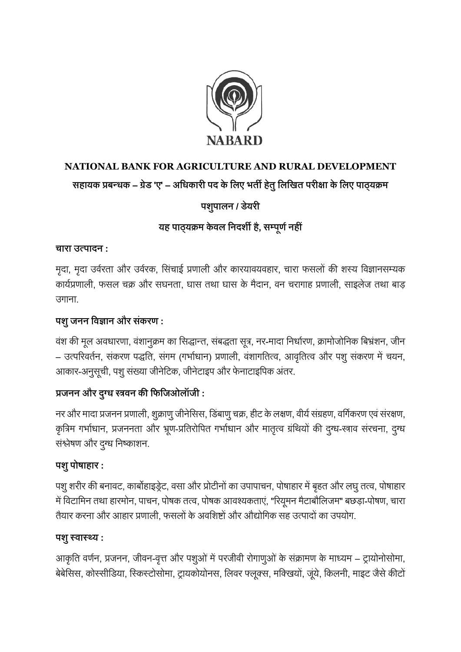

# **NATIONAL BANK FOR AGRICULTURE AND RURAL DEVELOPMENT**

## **सहायक प्रबन्धक – ग्रेड 'ए' – अधधकारी पद केधिए भर्ती हर्तेुधिधिर्त परीक्षा केधिए पाठ्यक्रम**

## **पशुपािन / डेयरी**

## **यह पाठ्यक्रम केवि धनदशी है, सम्पूर्णनहीं**

#### **चारा उत्पादन :**

मृदा, मृदा उर्वरता और उर्वरक, सिंचाई प्रणाली और कारयावयवहार, चारा फसलों की शस्य विज्ञानसम्यक कार्यप्रणाली, फसल चक्र और सघनता, घास तथा घास के मैदान, वन चरागाह प्रणाली, साइलेज तथा बाड़ उगाना.

## **पशुजनन धवज्ञान और सकं रर् :**

वंश की मूल अवधारणा, वंशानुक्रम का सिद्धान्त, संबद्धता सूत्र, नर-मादा निर्धारण, क्रामोजोनिक बिभ्रंशन, जीन – उत्परिवर्तन, संकरण पद्धति, संगम (गर्भाधान) प्रणाली, वंशागतित्व, आवृतित्व और पशु संकरण में चयन, आकार-अनुसूची, पशु संख्या जीनेटिक, जीनेटाइप और फेनाटाइपिक अंतर.

## **प्रजनन और दुग्ध स्त्रवन की धिधजओिॉजी :**

नर और मादा प्रजनन प्रणाली, शुक्राणु जीनेसिस, डिंबाणु चक्र, हीट के लक्षण, वीर्य संग्रहण, वर्गिकरण एवं संरक्षण, कृत्रिम गर्भाधान, प्रजननता और भ्रूण-प्रतिरोपित गर्भाधान और मातृत्व ग्रंथियों की दुग्ध-स्त्राव संरचना, दुग्ध संश्लेषण और दुग्ध निष्काशन.

### **पशुपोषाहार :**

पशु शरीर की बनावट, कार्बोहाइड्रेट, वसा और प्रोटीनों का उपापाचन, पोषाहार में बृहत और लघु तत्व, पोषाहार में विटामिन तथा हारमोन, पाचन, पोषक तत्व, पोषक आवश्यकताएं, "रियूमन मैटाबौलिजम" बछड़ा-पोषण, चारा तैयार करना और आहार प्रणाली. फसलों के अवशिष्टों और औद्योगिक सह उत्पादों का उपयोग.

### **पशुस्वास््य :**

आकृति वर्णन, प्रजनन, जीवन-वृत्त और पशुओं में परजीवी रोगाणुओं के संक्रामण के माध्यम – ट्रायोनोसोमा, बेबेसिस, कोस्सीडिया, स्किस्टोसोमा, ट्रायकोयोनस, लिवर फ्लूक्स, मक्खियों, जूंये, किलनी, माइट जैसे कीटों